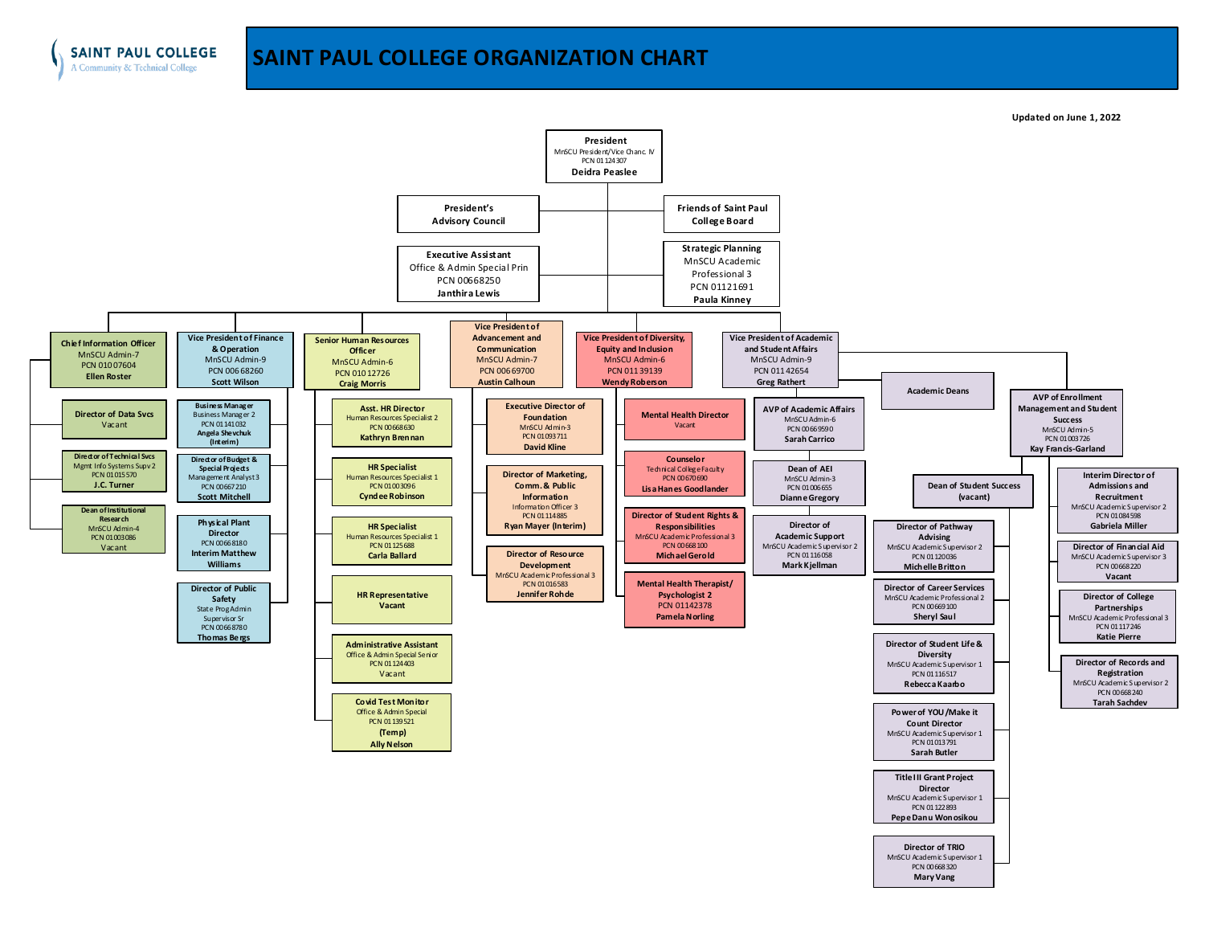**President** MnSCU President/Vice Chanc. IV **PCN 01124307 Deidra Peaslee Friends of Saint Paul College Board President's Advisory Council Executive Assistant** Office & Admin Special Prin PCN 00668250 **Janthira Lewis [Vice President of Finance](#page-1-0)  & Operation** MnSCU Admin-9 PCN 006 68260 **Scott Wilson [Senior Human Resources](#page-15-0)  Officer** MnSCU Admin-6 PCN 010 12726 **Craig Morris [Vice President of Academic](#page-4-0)  and Stude nt Affairs** MnSCU Admin-9 PCN 011 42654 **Greg Rathert Executive Director of Foundation** MnSCU Admin-3 PCN 01093711 **David Kline [Director of Marketing,](#page-11-0)  Comm. & Public Information** Information Officer 3 PCN 01114885 **Ryan Mayer (Interim) [Chie f Information Officer](#page-3-0)** MnSCU Admin-7 PCN 010 07604 **Ellen Roster [Director of Data Svcs](#page-3-0)** Vacant **Physical Plant Director** PCN 00668180 **[Interim Matthew](#page-2-0)  Williams Director of Budget & Special Projects** Management Analyst 3 PCN 00667210 **Scott Mitchell Business Manager** Business Manager 2 PCN 01141032 **Angela Shevchuk (Interim) Director of Public Safety** State Prog Admin Supervisor Sr PCN 00668780 **Thomas Be rgs [Academic Deans](#page-6-0) [Vice President of Diversity,](#page-13-0)  Equity and Inclusion** MnSCU Admin-6 PCN 011 39139 **Wendy Roberson [Director of Financial Aid](#page-13-0)** MnSCU Academic Supervisor 3 PCN 00668220 **Vacant AVP of Enrollment [Management and Student](#page-12-0)  Success** MnSCU Admin-5 PCN 01003726 **Kay Francis-Garland Dean of AEI** MnSCU Admin-3 PCN 01006655 **[Dianne Gregory](#page-10-0) Updated on June 1, 2022 Strategic Planning** MnSCU Academic Professional 3 PCN 01121691 **Paula Kinney Director of Technical Svcs** Mgmt Info Systems Supv 2 PCN 01015570 **J.C. Turner Dean of Institutional Research** MnSCU Admin-4 PCN 01003086 Vacant **Administrative Assistant** Office & Admin Special Senior PCN 01124403 Vacant **Asst. HR Director** Human Resources Specialist 2 PCN 00668630 **Kathryn Brennan HR Specialist** Human Resources Specialist 1 PCN 01003096 **Cyndee Robinson HR Specialist** Human Resources Specialist 1 **PCN 01125688 Carla Ballard HR Representative Vacant Vice President of Advancement and Communication** MnSCU Admin-7 PCN 006 69700 **Austin Calhoun Director of Resource Development** MnSCU Academic Professional 3 PCN 01016583 **Jennifer Rohde Dean of Student Success (vacant) AVP of Academic Affairs** MnSCUAdmin-6 PCN 00669590 **Sarah Carrico Interim Director of Admissions and Recruitment** [MnSCU Academic Supervisor 2](#page-13-0) PCN 01084598 **Gabriela Miller Director of Pathway<br>Advising<br>MnSCU Academic Supervisor 2** PCN 01120036 **Michelle Britton [Director of Career Services](#page-13-0)** MnSCU Academic Professional 2 PCN 00669100 **Sheryl Saul [Director of Student Life &](#page-13-0)  Diversity** MnSCU Academic Supervisor 1 PCN 01116517 **Rebecca Kaarbo Director of College Partnerships** [MnSCU Academic Professional 3](#page-13-0) PCN 01117246 **Katie Pierre [Power of YOU/Make it](#page-13-0)  Count Director** MnSCU Academic Supervisor 1 PCN 01013791 **Sarah Butler [Director of Records and](#page-13-0)  Registration** MnSCU Academic S upervisor 2 PCN 00668240 **Tarah Sachdev Director of TRIO** [MnSCU Academic S upervisor 1](#page-13-0) PCN 00668320 **Mary Vang [Mental Health Director](#page-10-0)** Vacant **Counselor** Technical College Faculty PCN 00670690 **Lisa Hanes Goodlander Director of Student Rights & Responsibilities** MnSCU Academic Professional 3 PCN 00668100 **Michael Gerold Director of Academic Support** MnSCU Academic Supervisor 2 PCN 01116058 **Mark Kjellman Title III Grant Project Director** MnSCU Academic S upervisor 1 PCN 01122893 **[Pepe Danu Wonosikou](#page-13-0) Covid Test Monitor** Office & Admin Special PCN 01139521 **(Temp) Ally Nelson Mental Health Therapist/ Psychologist 2** PCN 01142378 **Pamela Norling**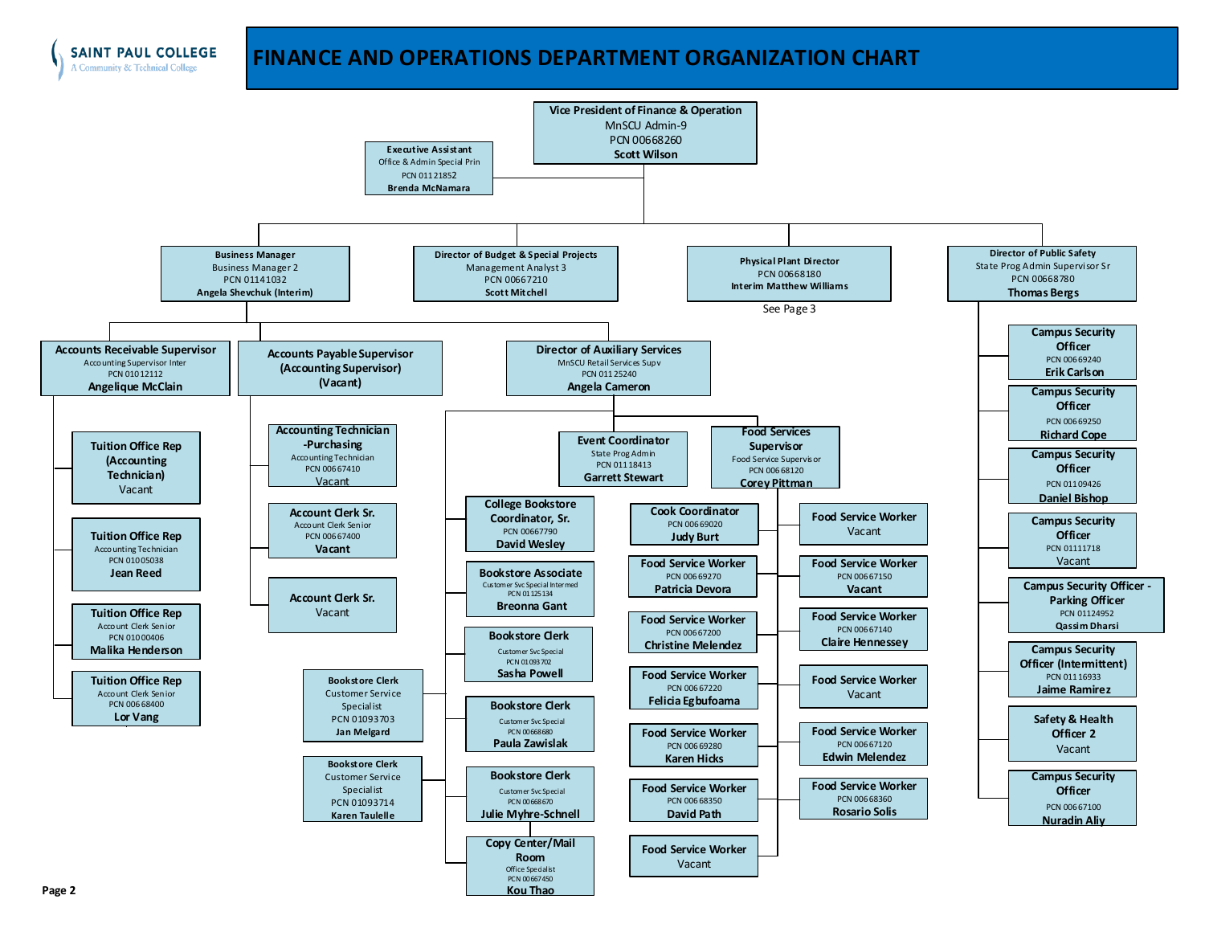<span id="page-1-0"></span>

# **FINANCE AND OPERATIONS DEPARTMENT ORGANIZATION CHART**

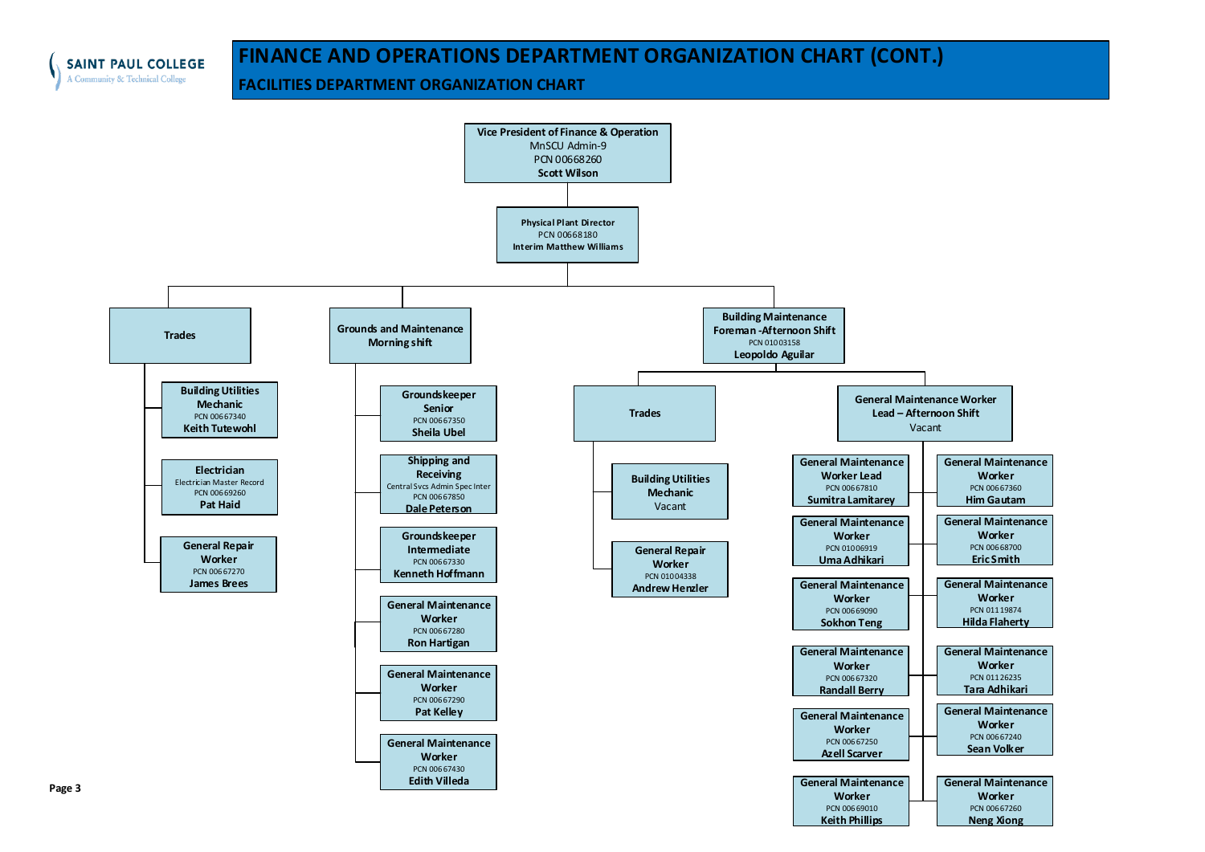<span id="page-2-0"></span>

# **FINANCE AND OPERATIONS DEPARTMENT ORGANIZATION CHART (CONT.)**

**FACILITIES DEPARTMENT ORGANIZATION CHART**

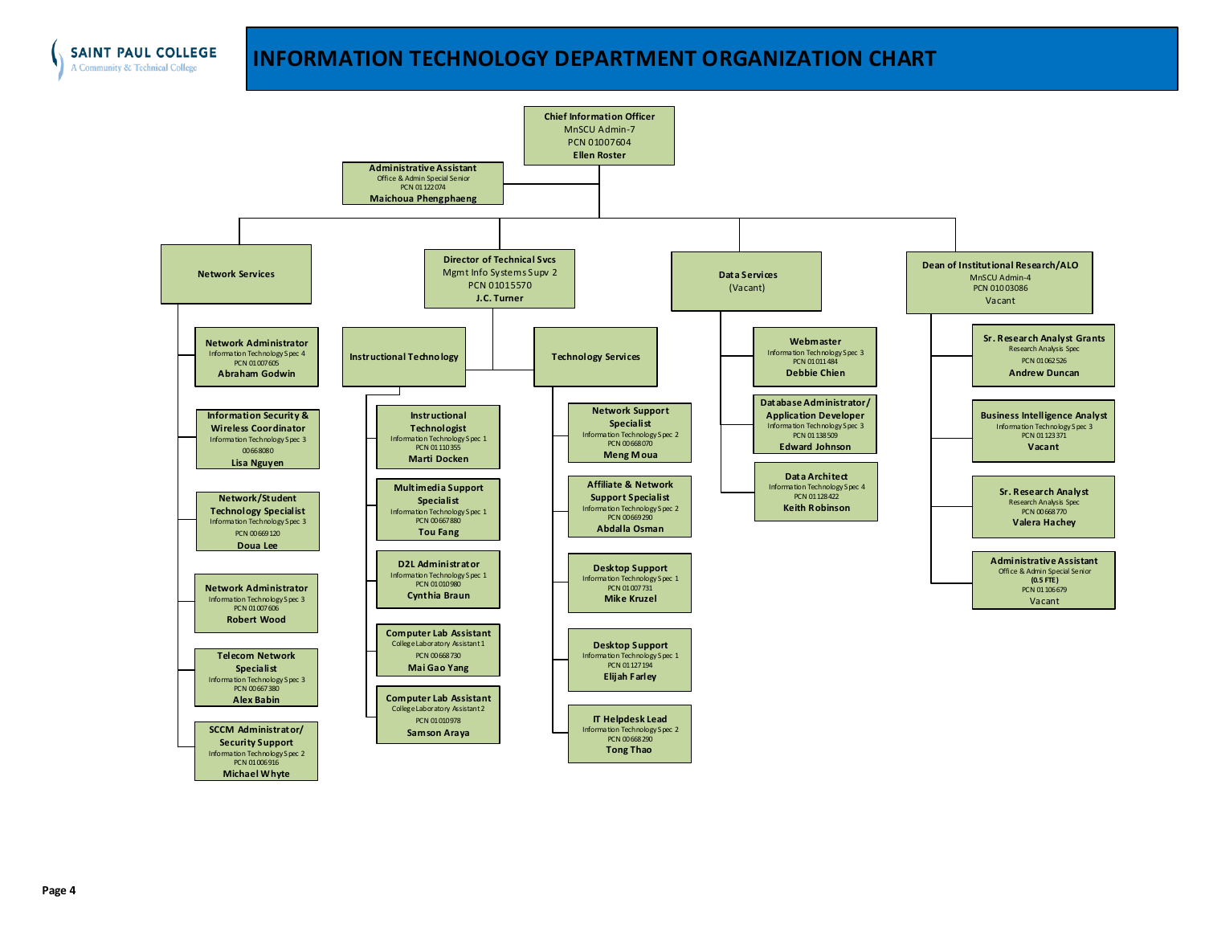# **INFORMATION TECHNOLOGY DEPARTMENT ORGANIZATION CHART**

<span id="page-3-0"></span>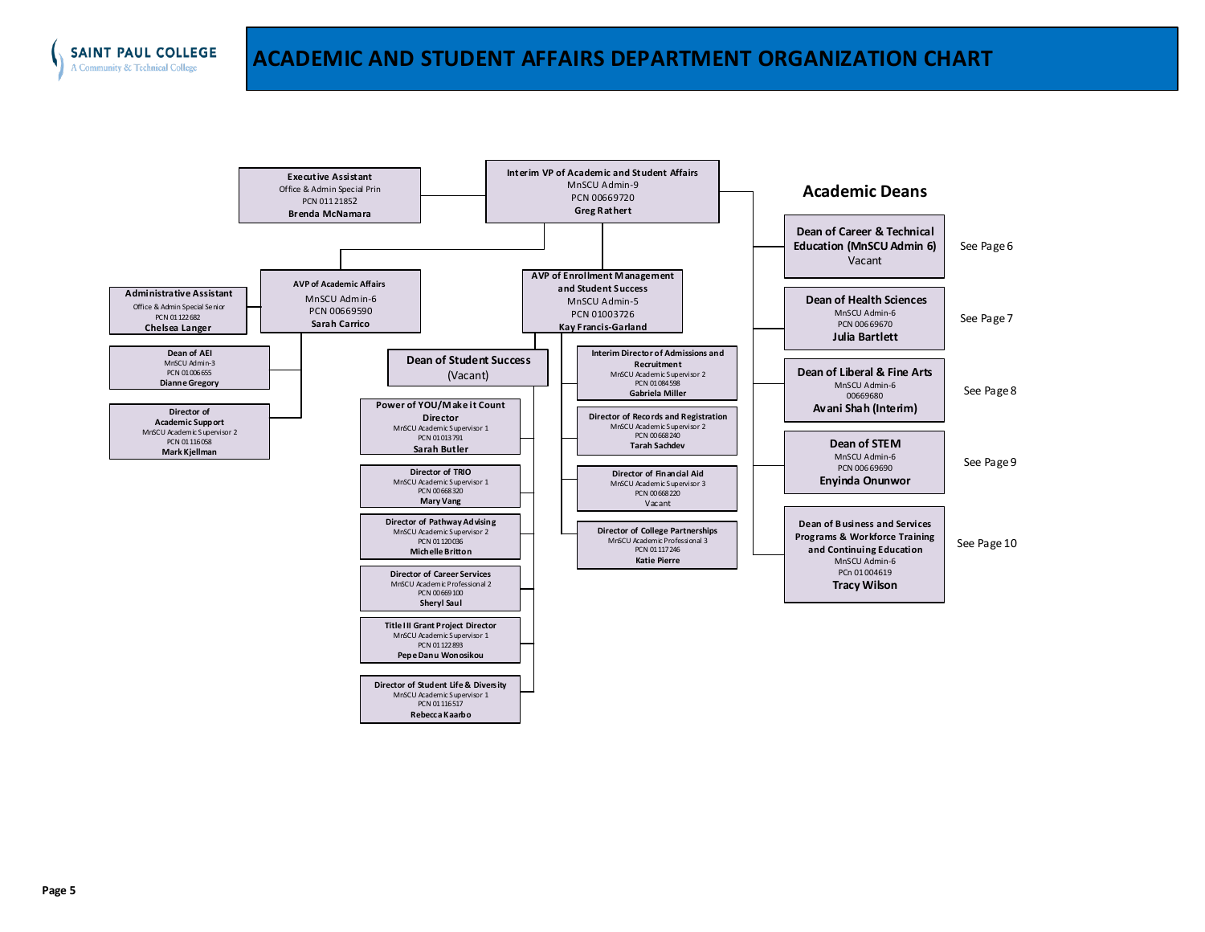<span id="page-4-0"></span>

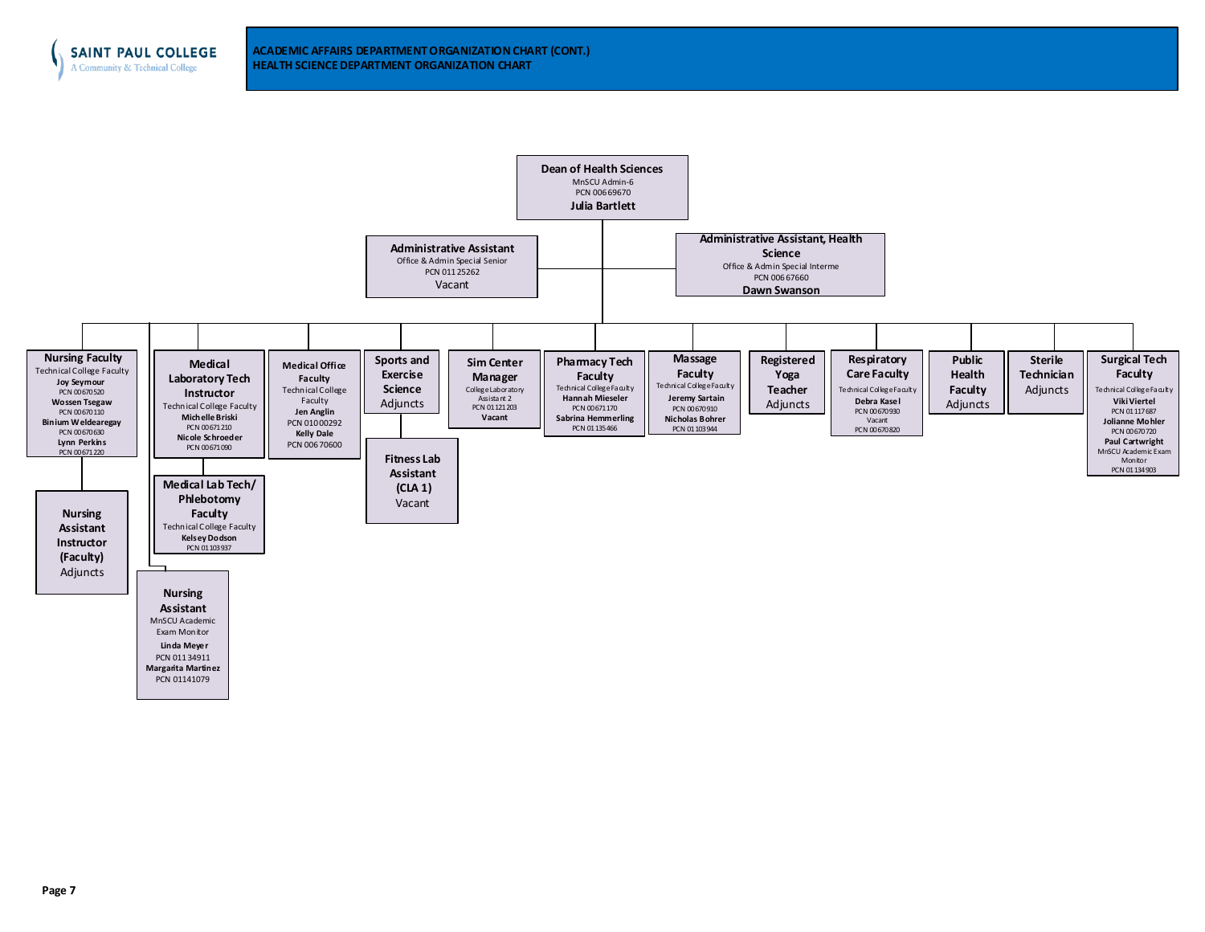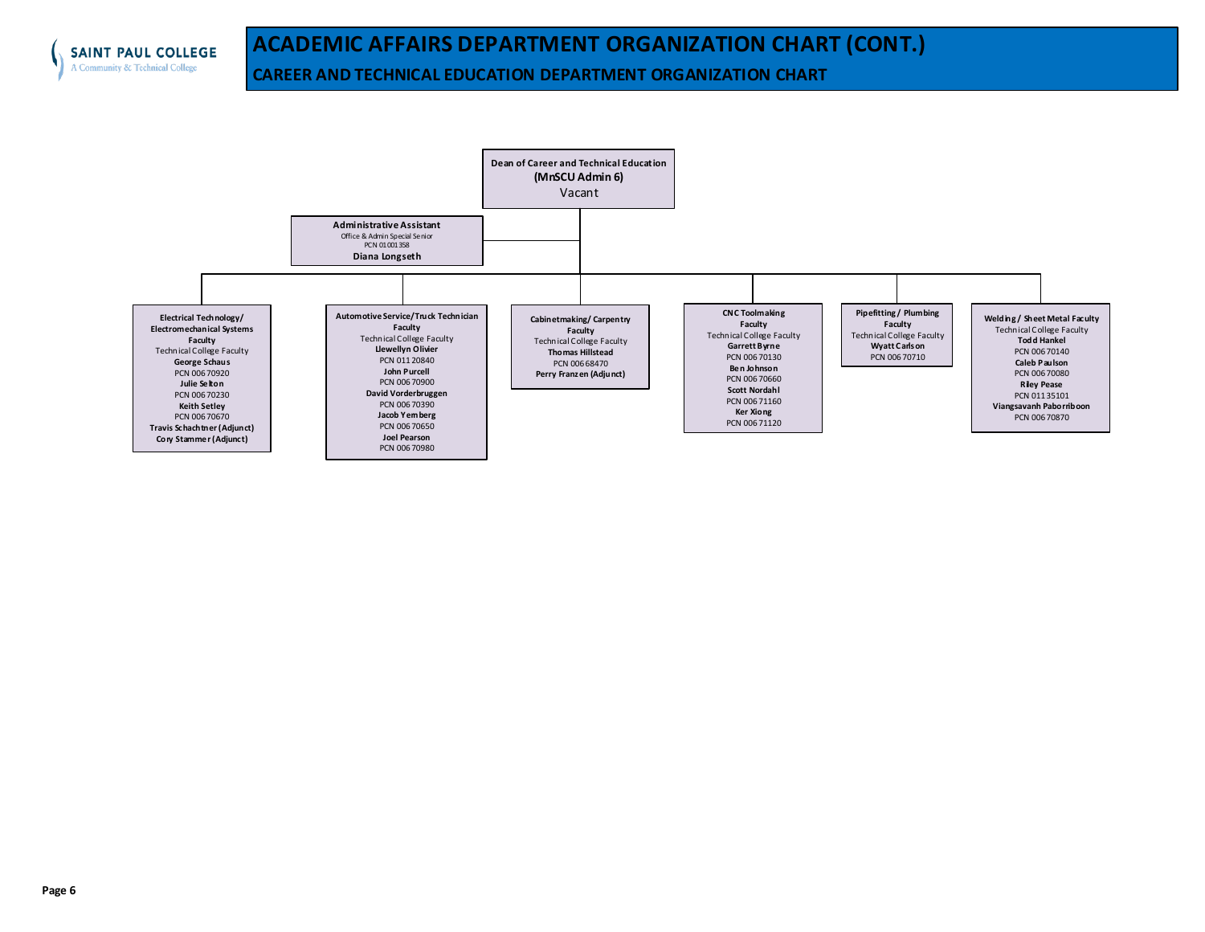<span id="page-6-0"></span>

**CAREER AND TECHNICAL EDUCATION DEPARTMENT ORGANIZATION CHART** 

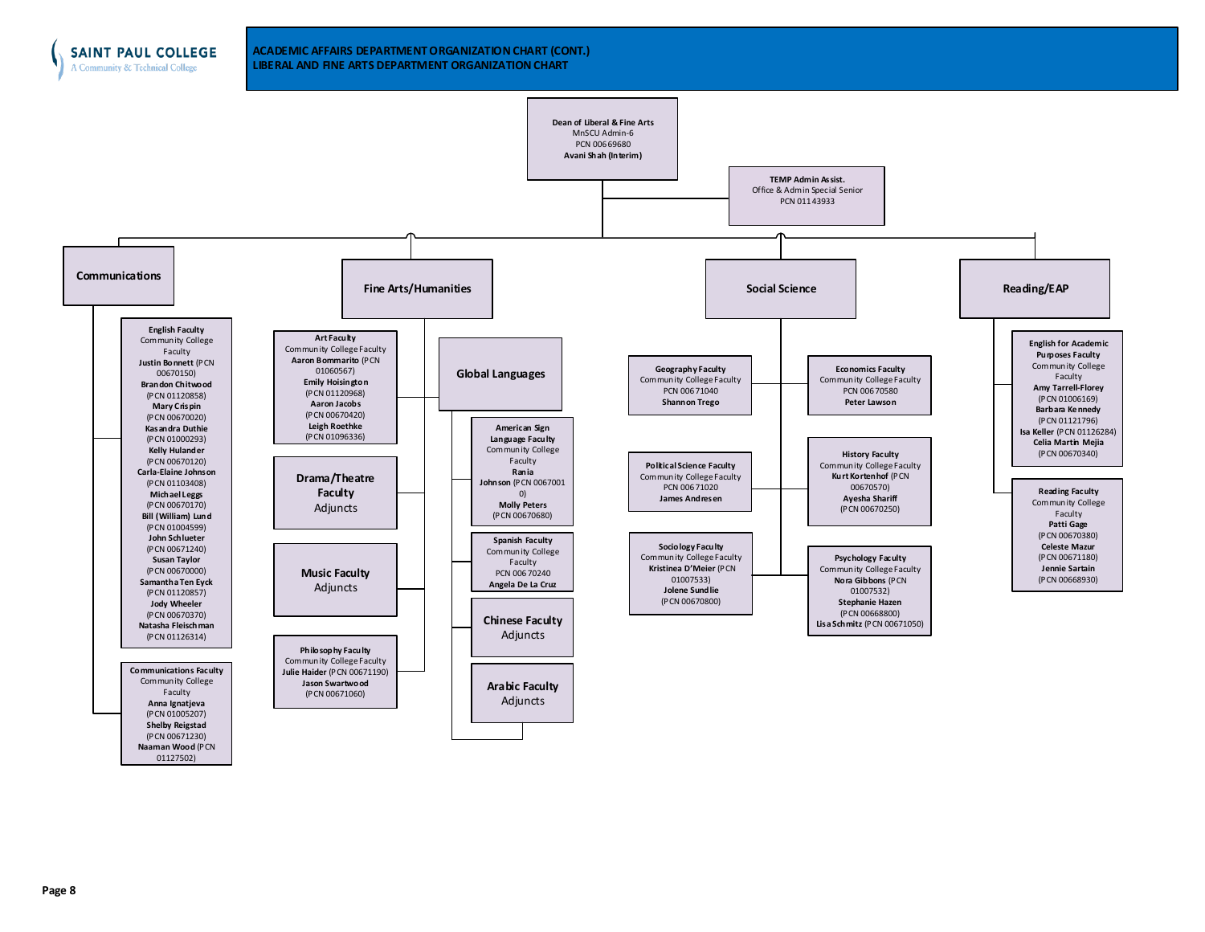

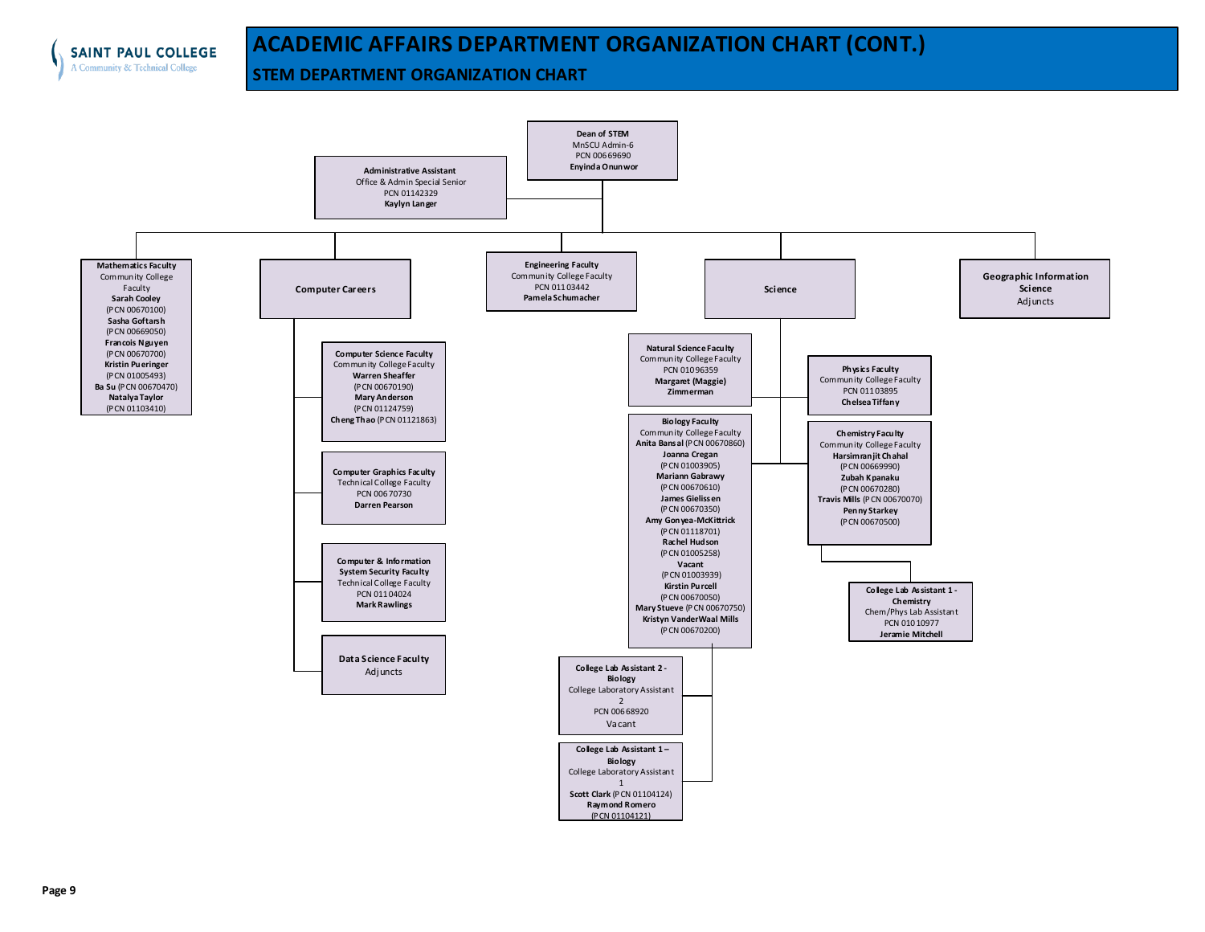

**STEM DEPARTMENT ORGANIZATION CHART** 

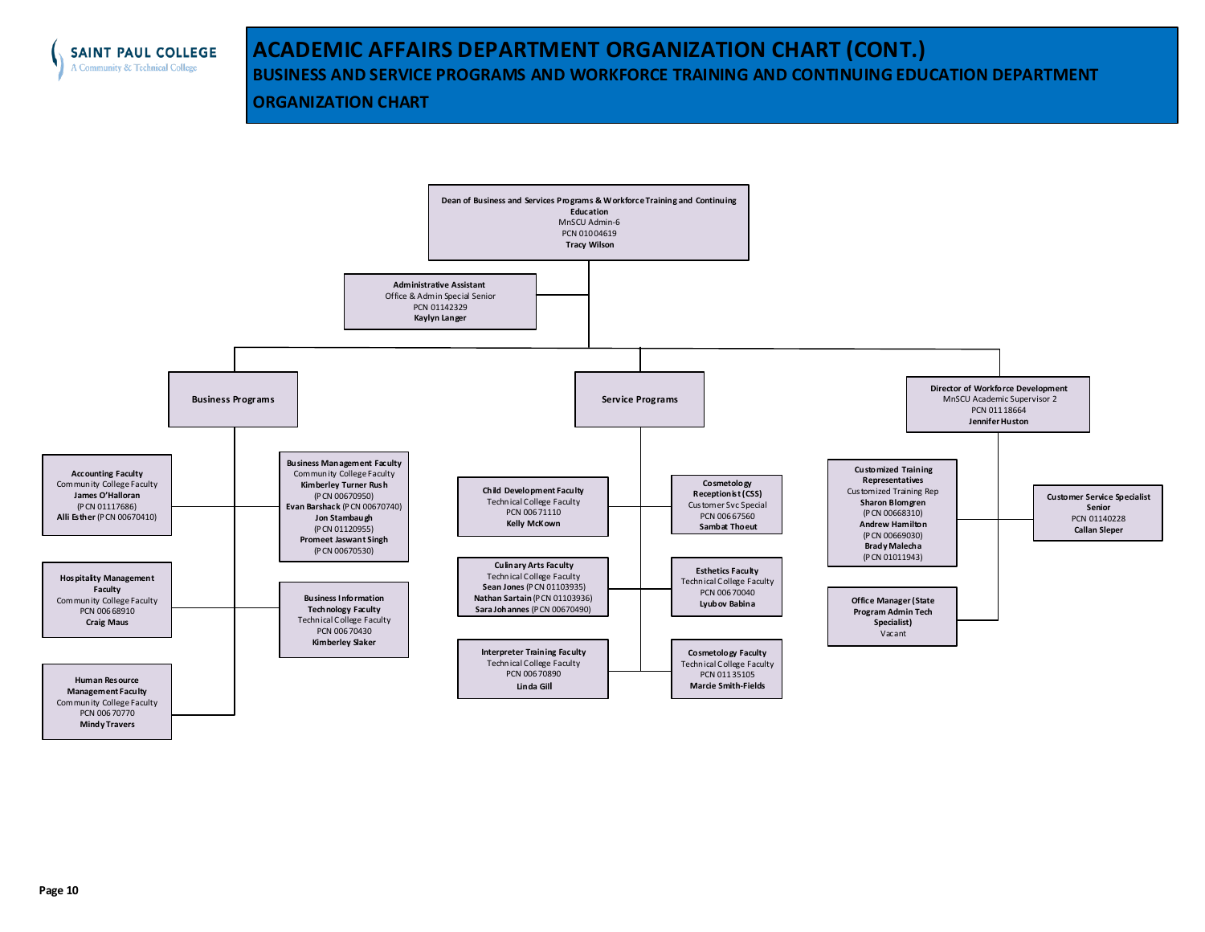

# **ACADEMIC AFFAIRS DEPARTMENT ORGANIZATION CHART (CONT.) BUSINESS AND SERVICE PROGRAMS AND WORKFORCE TRAINING AND CONTINUING EDUCATION DEPARTMENT**

#### **ORGANIZATION CHART**

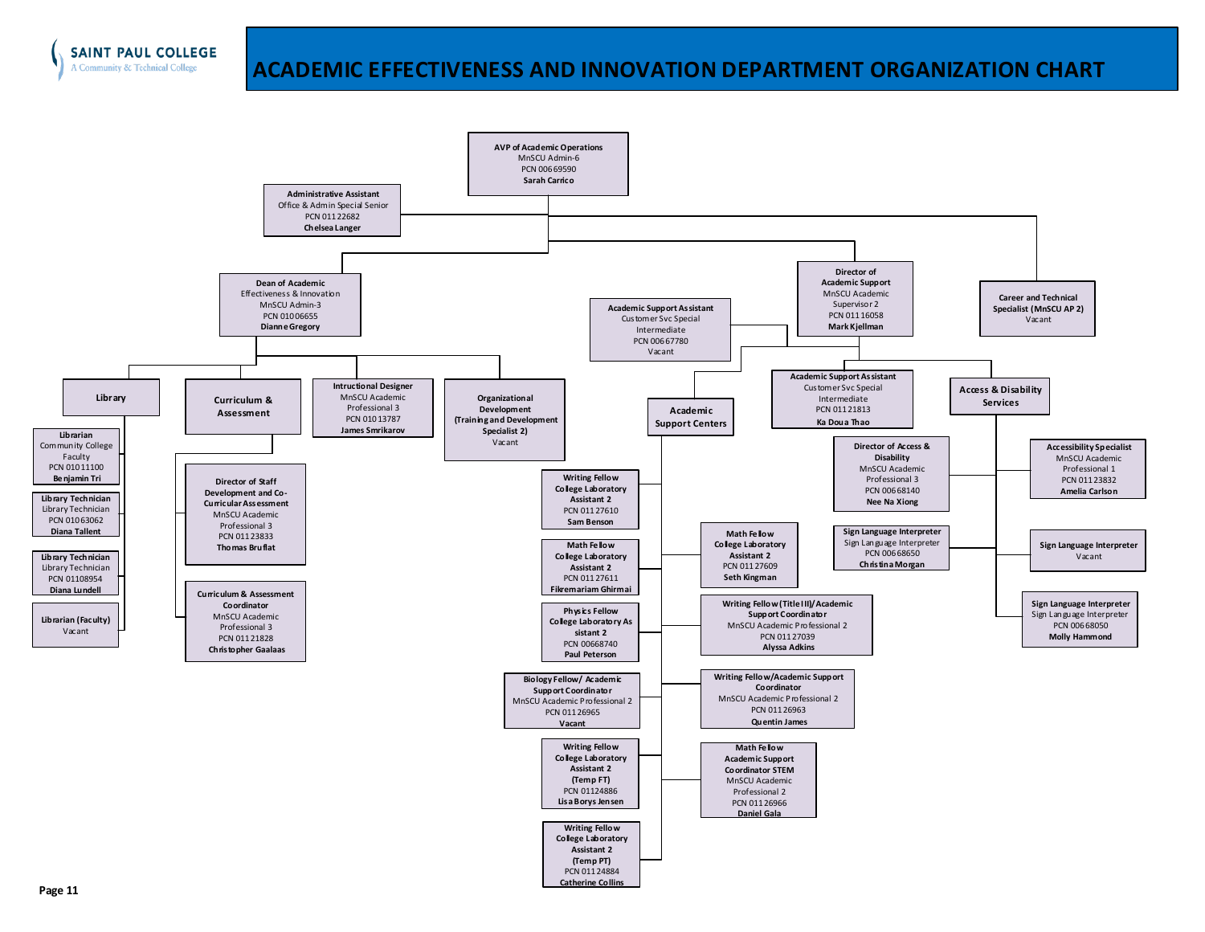# **ACADEMIC EFFECTIVENESS AND INNOVATION DEPARTMENT ORGANIZATION CHART**

<span id="page-10-0"></span>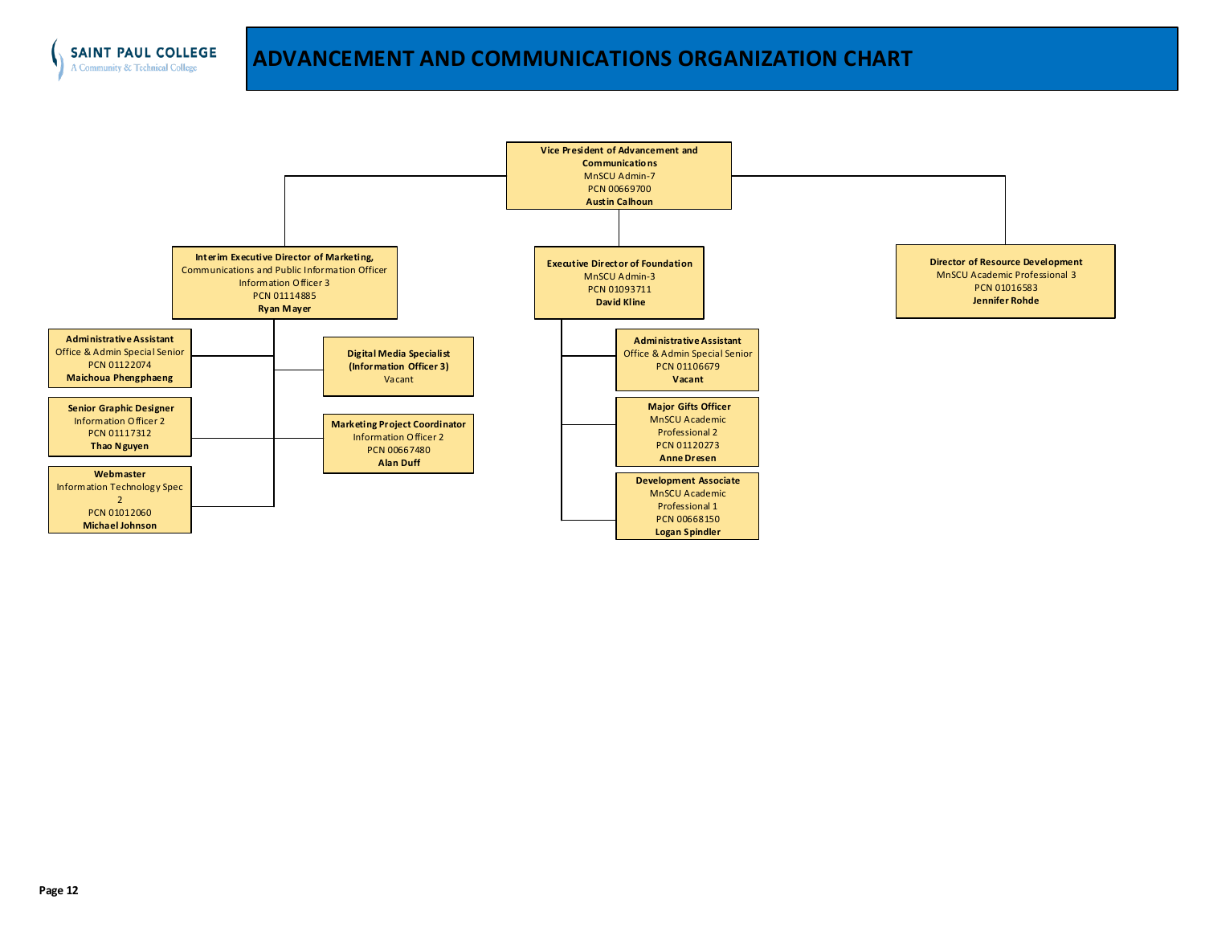<span id="page-11-0"></span>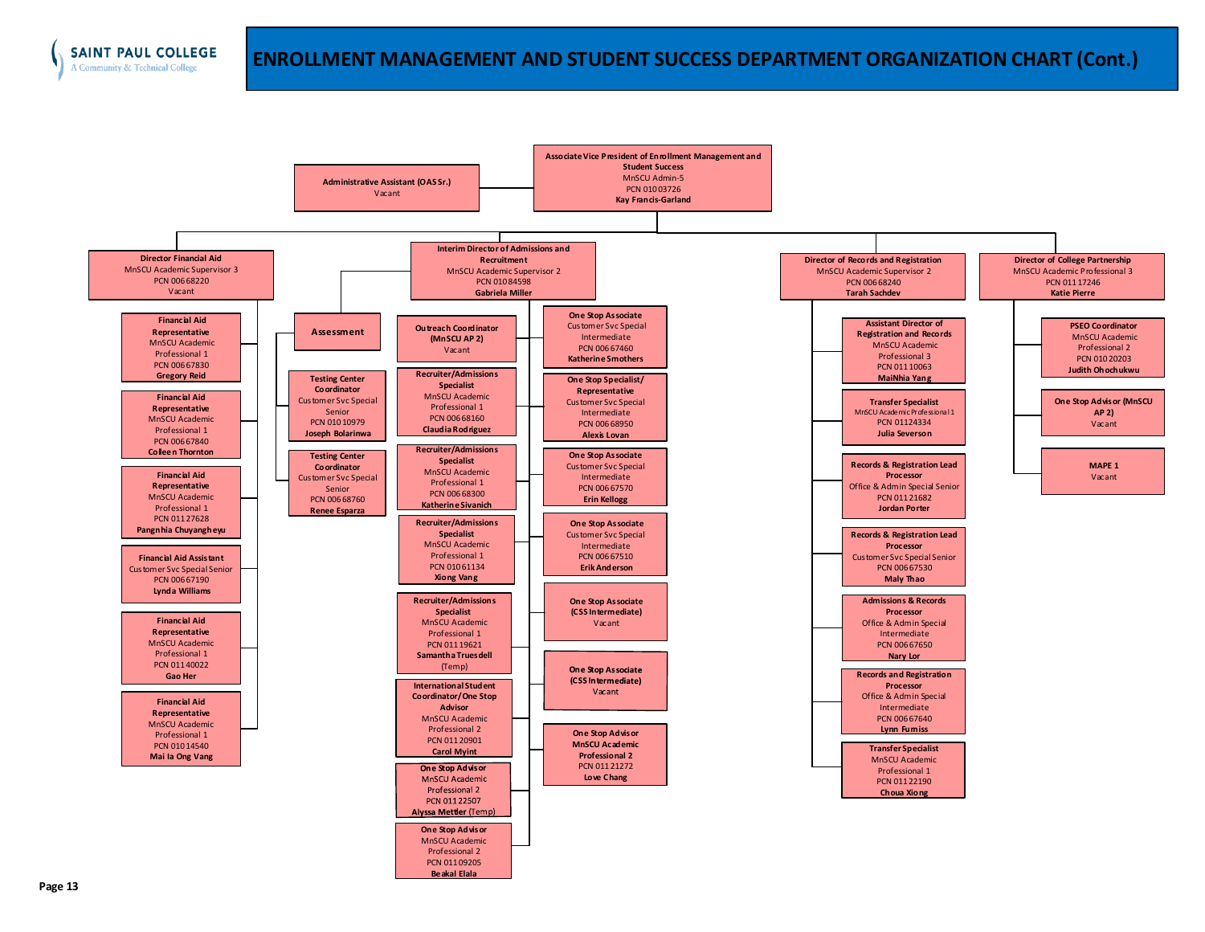<span id="page-12-0"></span>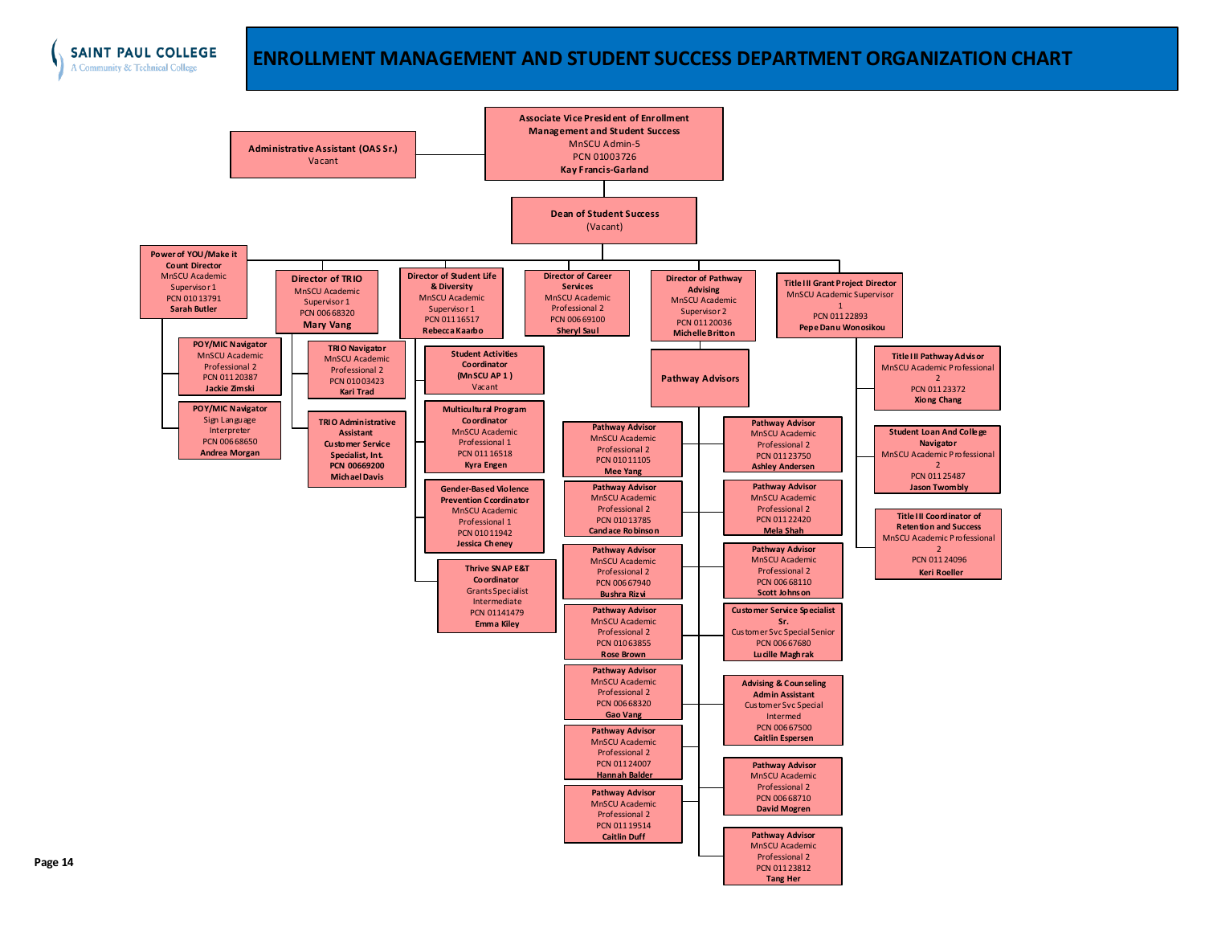<span id="page-13-0"></span>

#### **ENROLLMENT MANAGEMENT AND STUDENT SUCCESS DEPARTMENT ORGANIZATION CHART**

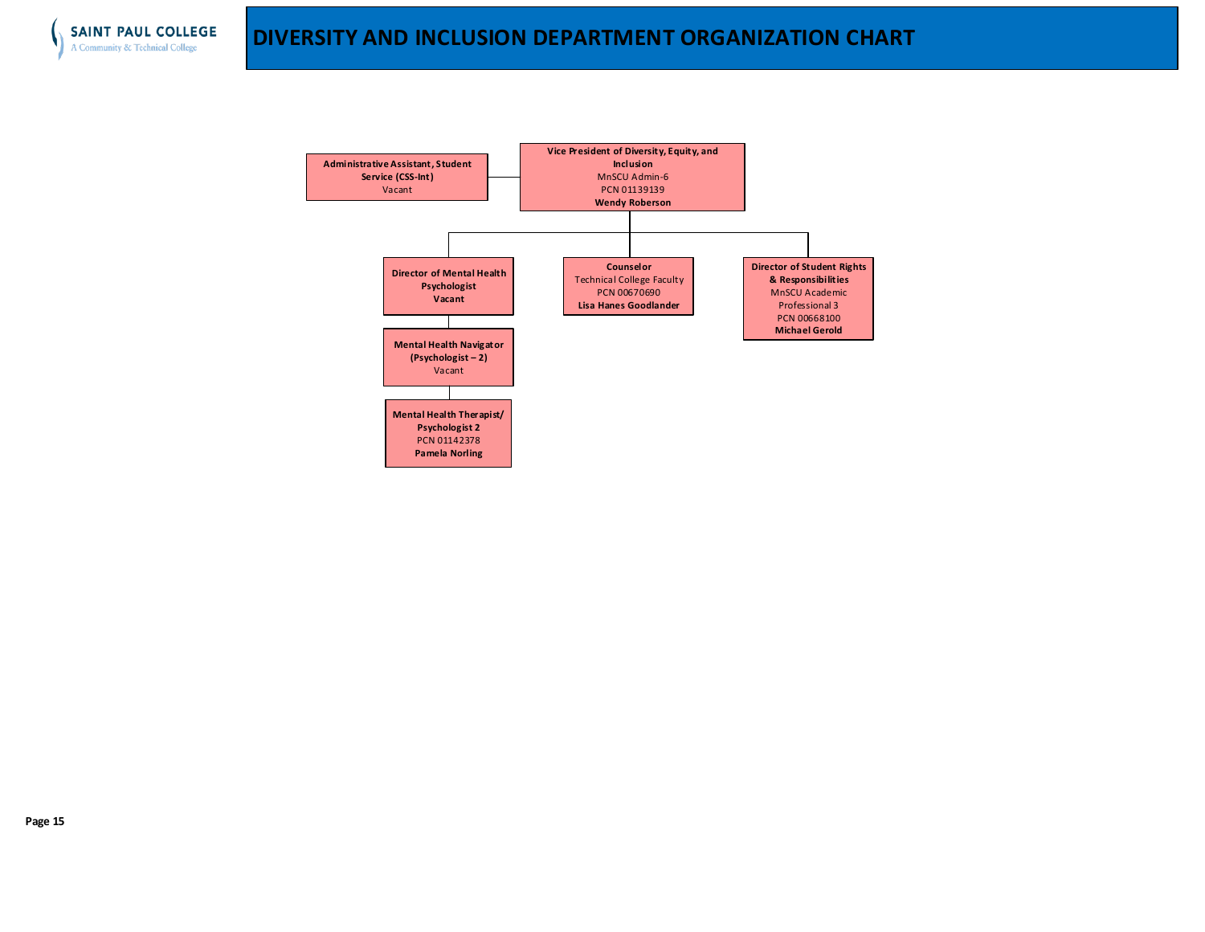